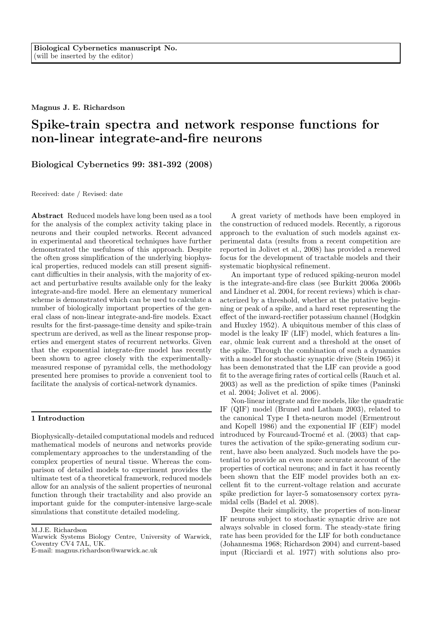Magnus J. E. Richardson

# Spike-train spectra and network response functions for non-linear integrate-and-fire neurons

Biological Cybernetics 99: 381-392 (2008)

Received: date / Revised: date

Abstract Reduced models have long been used as a tool for the analysis of the complex activity taking place in neurons and their coupled networks. Recent advanced in experimental and theoretical techniques have further demonstrated the usefulness of this approach. Despite the often gross simplification of the underlying biophysical properties, reduced models can still present significant difficulties in their analysis, with the majority of exact and perturbative results available only for the leaky integrate-and-fire model. Here an elementary numerical scheme is demonstrated which can be used to calculate a number of biologically important properties of the general class of non-linear integrate-and-fire models. Exact results for the first-passage-time density and spike-train spectrum are derived, as well as the linear response properties and emergent states of recurrent networks. Given that the exponential integrate-fire model has recently been shown to agree closely with the experimentallymeasured response of pyramidal cells, the methodology presented here promises to provide a convenient tool to facilitate the analysis of cortical-network dynamics.

## 1 Introduction

Biophysically-detailed computational models and reduced mathematical models of neurons and networks provide complementary approaches to the understanding of the complex properties of neural tissue. Whereas the comparison of detailed models to experiment provides the ultimate test of a theoretical framework, reduced models allow for an analysis of the salient properties of neuronal function through their tractability and also provide an important guide for the computer-intensive large-scale simulations that constitute detailed modeling.

M.J.E. Richardson

A great variety of methods have been employed in the construction of reduced models. Recently, a rigorous approach to the evaluation of such models against experimental data (results from a recent competition are reported in Jolivet et al., 2008) has provided a renewed focus for the development of tractable models and their systematic biophysical refinement.

An important type of reduced spiking-neuron model is the integrate-and-fire class (see Burkitt 2006a 2006b and Lindner et al. 2004, for recent reviews) which is characterized by a threshold, whether at the putative beginning or peak of a spike, and a hard reset representing the effect of the inward-rectifier potassium channel (Hodgkin and Huxley 1952). A ubiquitous member of this class of model is the leaky IF (LIF) model, which features a linear, ohmic leak current and a threshold at the onset of the spike. Through the combination of such a dynamics with a model for stochastic synaptic drive (Stein 1965) it has been demonstrated that the LIF can provide a good fit to the average firing rates of cortical cells (Rauch et al. 2003) as well as the prediction of spike times (Paninski et al. 2004; Jolivet et al. 2006).

Non-linear integrate and fire models, like the quadratic IF (QIF) model (Brunel and Latham 2003), related to the canonical Type I theta-neuron model (Ermentrout and Kopell 1986) and the exponential IF (EIF) model introduced by Fourcaud-Trocmé et al. (2003) that captures the activation of the spike-generating sodium current, have also been analyzed. Such models have the potential to provide an even more accurate account of the properties of cortical neurons; and in fact it has recently been shown that the EIF model provides both an excellent fit to the current-voltage relation and accurate spike prediction for layer-5 somatosensory cortex pyramidal cells (Badel et al. 2008).

Despite their simplicity, the properties of non-linear IF neurons subject to stochastic synaptic drive are not always solvable in closed form. The steady-state firing rate has been provided for the LIF for both conductance (Johannesma 1968; Richardson 2004) and current-based input (Ricciardi et al. 1977) with solutions also pro-

Warwick Systems Biology Centre, University of Warwick, Coventry CV4 7AL, UK.

E-mail: magnus.richardson@warwick.ac.uk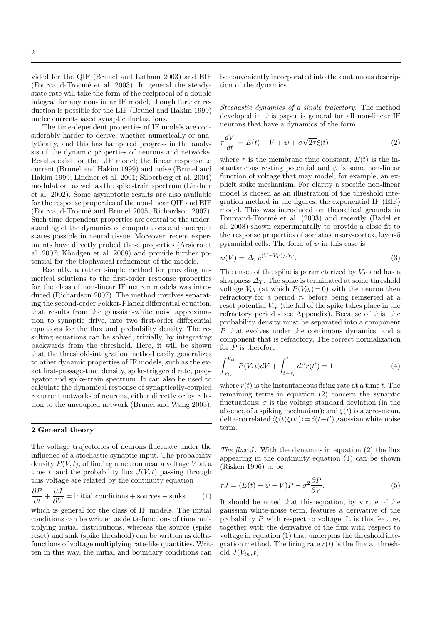vided for the QIF (Brunel and Latham 2003) and EIF (Fourcaud-Trocm´e et al. 2003). In general the steadystate rate will take the form of the reciprocal of a double integral for any non-linear IF model, though further reduction is possible for the LIF (Brunel and Hakim 1999) under current-based synaptic fluctuations.

The time-dependent properties of IF models are considerably harder to derive, whether numerically or analytically, and this has hampered progress in the analysis of the dynamic properties of neurons and networks. Results exist for the LIF model; the linear response to current (Brunel and Hakim 1999) and noise (Brunel and Hakim 1999; Lindner et al. 2001; Silberberg et al. 2004) modulation, as well as the spike-train spectrum (Lindner et al. 2002). Some asymptotic results are also available for the response properties of the non-linear QIF and EIF (Fourcaud-Trocm´e and Brunel 2005; Richardson 2007). Such time-dependent properties are central to the understanding of the dynamics of computations and emergent states possible in neural tissue. Moreover, recent experiments have directly probed these properties (Arsiero et al. 2007; Köndgen et al. 2008) and provide further potential for the biophysical refinement of the models.

Recently, a rather simple method for providing numerical solutions to the first-order response properties for the class of non-linear IF neuron models was introduced (Richardson 2007). The method involves separating the second-order Fokker-Planck differential equation, that results from the gaussian-white noise approximation to synaptic drive, into two first-order differential equations for the flux and probability density. The resulting equations can be solved, trivially, by integrating backwards from the threshold. Here, it will be shown that the threshold-integration method easily generalizes to other dynamic properties of IF models, such as the exact first-passage-time density, spike-triggered rate, propagator and spike-train spectrum. It can also be used to calculate the dynamical response of synaptically-coupled recurrent networks of neurons, either directly or by relation to the uncoupled network (Brunel and Wang 2003).

#### 2 General theory

The voltage trajectories of neurons fluctuate under the influence of a stochastic synaptic input. The probability density  $P(V, t)$ , of finding a neuron near a voltage V at a time t, and the probability flux  $J(V, t)$  passing through this voltage are related by the continuity equation

$$
\frac{\partial P}{\partial t} + \frac{\partial J}{\partial V} = \text{initial conditions} + \text{sources} - \text{sinks} \tag{1}
$$

which is general for the class of IF models. The initial conditions can be written as delta-functions of time multiplying initial distributions, whereas the source (spike reset) and sink (spike threshold) can be written as deltafunctions of voltage multiplying rate-like quantities. Written in this way, the initial and boundary conditions can

be conveniently incorporated into the continuous description of the dynamics.

Stochastic dynamics of a single trajectory. The method developed in this paper is general for all non-linear IF neurons that have a dynamics of the form

$$
\tau \frac{dV}{dt} = E(t) - V + \psi + \sigma \sqrt{2\tau} \xi(t)
$$
\n(2)

where  $\tau$  is the membrane time constant,  $E(t)$  is the instantaneous resting potential and  $\psi$  is some non-linear function of voltage that may model, for example, an explicit spike mechanism. For clarity a specific non-linear model is chosen as an illustration of the threshold integration method in the figures: the exponential IF (EIF) model. This was introduced on theoretical grounds in Fourcaud-Trocm´e et al. (2003) and recently (Badel et al. 2008) shown experimentally to provide a close fit to the response properties of somatosensory-cortex, layer-5 pyramidal cells. The form of  $\psi$  in this case is

$$
\psi(V) = \Delta_T e^{(V - V_T)/\Delta_T}.\tag{3}
$$

The onset of the spike is parameterized by  $V_T$  and has a sharpness  $\Delta_T$ . The spike is terminated at some threshold voltage  $V_{th}$  (at which  $P(V_{th}) = 0$ ) with the neuron then refractory for a period  $\tau_r$  before being reinserted at a reset potential  $V_{re}$  (the fall of the spike takes place in the refractory period - see Appendix). Because of this, the probability density must be separated into a component P that evolves under the continuous dynamics, and a component that is refractory, The correct normalization for  $P$  is therefore

$$
\int_{V_{lb}}^{V_{th}} P(V, t) dV + \int_{t-\tau_r}^{t} dt' r(t') = 1
$$
\n(4)

where  $r(t)$  is the instantaneous firing rate at a time t. The remaining terms in equation (2) concern the synaptic fluctuations:  $\sigma$  is the voltage standard deviation (in the absence of a spiking mechanism); and  $\xi(t)$  is a zero-mean, delta-correlated  $\langle \xi(t)\xi(t')\rangle = \delta(t-t')$  gaussian white noise term.

The flux J. With the dynamics in equation  $(2)$  the flux appearing in the continuity equation (1) can be shown (Risken 1996) to be

$$
\tau J = (E(t) + \psi - V)P - \sigma^2 \frac{\partial P}{\partial V}.
$$
\n(5)

It should be noted that this equation, by virtue of the gaussian white-noise term, features a derivative of the probability P with respect to voltage. It is this feature, together with the derivative of the flux with respect to voltage in equation (1) that underpins the threshold integration method. The firing rate  $r(t)$  is the flux at threshold  $J(V_{th}, t)$ .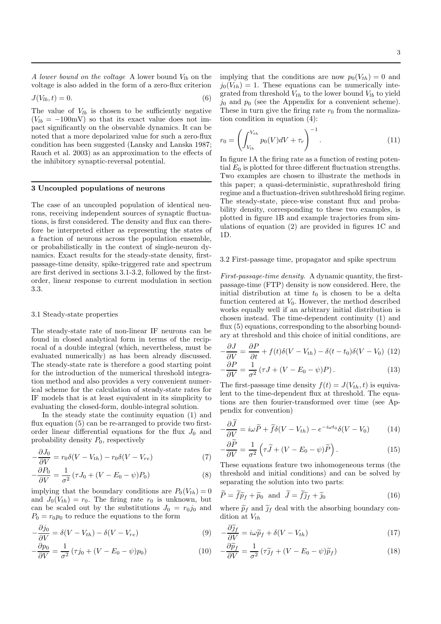A lower bound on the voltage A lower bound  $V_{lb}$  on the voltage is also added in the form of a zero-flux criterion

$$
J(V_{lb},t) = 0.\t\t(6)
$$

The value of  $V_{lb}$  is chosen to be sufficiently negative  $(V_{lb} = -100$ mV) so that its exact value does not impact significantly on the observable dynamics. It can be noted that a more depolarized value for such a zero-flux condition has been suggested (Lansky and Lanska 1987; Rauch et al. 2003) as an approximation to the effects of the inhibitory synaptic-reversal potential.

#### 3 Uncoupled populations of neurons

The case of an uncoupled population of identical neurons, receiving independent sources of synaptic fluctuations, is first considered. The density and flux can therefore be interpreted either as representing the states of a fraction of neurons across the population ensemble, or probabilistically in the context of single-neuron dynamics. Exact results for the steady-state density, firstpassage-time density, spike-triggered rate and spectrum are first derived in sections 3.1-3.2, followed by the firstorder, linear response to current modulation in section 3.3.

## 3.1 Steady-state properties

The steady-state rate of non-linear IF neurons can be found in closed analytical form in terms of the reciprocal of a double integral (which, nevertheless, must be evaluated numerically) as has been already discussed. The steady-state rate is therefore a good starting point for the introduction of the numerical threshold integration method and also provides a very convenient numerical scheme for the calculation of steady-state rates for IF models that is at least equivalent in its simplicity to evaluating the closed-form, double-integral solution.

In the steady state the continuity equation (1) and flux equation (5) can be re-arranged to provide two firstorder linear differential equations for the flux  $J_0$  and probability density  $P_0$ , respectively

$$
-\frac{\partial J_0}{\partial V} = r_0 \delta (V - V_{th}) - r_0 \delta (V - V_{re})
$$
\n(7)

$$
-\frac{\partial P_0}{\partial V} = \frac{1}{\sigma^2} \left( \tau J_0 + (V - E_0 - \psi) P_0 \right) \tag{8}
$$

implying that the boundary conditions are  $P_0(V_{th}) = 0$ and  $J_0(V_{th}) = r_0$ . The firing rate  $r_0$  is unknown, but can be scaled out by the substitutions  $J_0 = r_0 j_0$  and  $P_0 = r_0 p_0$  to reduce the equations to the form

$$
-\frac{\partial j_0}{\partial V} = \delta(V - V_{th}) - \delta(V - V_{re})
$$
\n(9)

$$
-\frac{\partial p_0}{\partial V} = \frac{1}{\sigma^2} \left( \tau j_0 + (V - E_0 - \psi) p_0 \right) \tag{10}
$$

implying that the conditions are now  $p_0(V_{th}) = 0$  and  $j_0(V_{th}) = 1$ . These equations can be numerically integrated from threshold  $V_{th}$  to the lower bound  $V_{lb}$  to yield  $j_0$  and  $p_0$  (see the Appendix for a convenient scheme). These in turn give the firing rate  $r_0$  from the normalization condition in equation (4):

$$
r_0 = \left(\int_{V_{lb}}^{V_{th}} p_0(V)dV + \tau_r\right)^{-1}.\tag{11}
$$

In figure 1A the firing rate as a function of resting potential  $E_0$  is plotted for three different fluctuation strengths. Two examples are chosen to illustrate the methods in this paper; a quasi-deterministic, suprathreshold firing regime and a fluctuation-driven subthreshold firing regime. The steady-state, piece-wise constant flux and probability density, corresponding to these two examples, is plotted in figure 1B and example trajectories from simulations of equation (2) are provided in figures 1C and 1D.

#### 3.2 First-passage time, propagator and spike spectrum

First-passage-time density. A dynamic quantity, the firstpassage-time (FTP) density is now considered. Here, the initial distribution at time  $t_0$  is chosen to be a delta function centered at  $V_0$ . However, the method described works equally well if an arbitrary initial distribution is chosen instead. The time-dependent continuity (1) and flux (5) equations, corresponding to the absorbing boundary at threshold and this choice of initial conditions, are

$$
-\frac{\partial J}{\partial V} = \frac{\partial P}{\partial t} + f(t)\delta(V - V_{th}) - \delta(t - t_0)\delta(V - V_0)
$$
 (12)  

$$
-\frac{\partial P}{\partial V} = \frac{1}{\sigma^2}(\tau J + (V - E_0 - \psi)P).
$$
 (13)

The first-passage time density  $f(t) = J(V_{th}, t)$  is equivalent to the time-dependent flux at threshold. The equations are then fourier-transformed over time (see Appendix for convention)

$$
-\frac{\partial J}{\partial V} = i\omega \widetilde{P} + \widetilde{f}\delta(V - V_{th}) - e^{-i\omega t_0} \delta(V - V_0)
$$
 (14)

$$
-\frac{\partial \widetilde{P}}{\partial V} = \frac{1}{\sigma^2} \left( \tau \widetilde{J} + (V - E_0 - \psi) \widetilde{P} \right). \tag{15}
$$

These equations feature two inhomogeneous terms (the threshold and initial conditions) and can be solved by separating the solution into two parts:

$$
\widetilde{P} = \widetilde{f}\widetilde{p}_f + \widetilde{p}_0 \quad \text{and} \quad \widetilde{J} = \widetilde{f}\widetilde{j}_f + \widetilde{j}_0 \tag{16}
$$

where  $\tilde{p}_f$  and  $\tilde{j}_f$  deal with the absorbing boundary condition at  $V_{th}$ 

$$
-\frac{\partial \widetilde{\jmath}_f}{\partial V} = i\omega \widetilde{p}_f + \delta (V - V_{th})
$$
\n(17)

$$
-\frac{\partial \widetilde{p}_f}{\partial V} = \frac{1}{\sigma^2} \left( \tau \widetilde{\jmath}_f + (V - E_0 - \psi) \widetilde{p}_f \right) \tag{18}
$$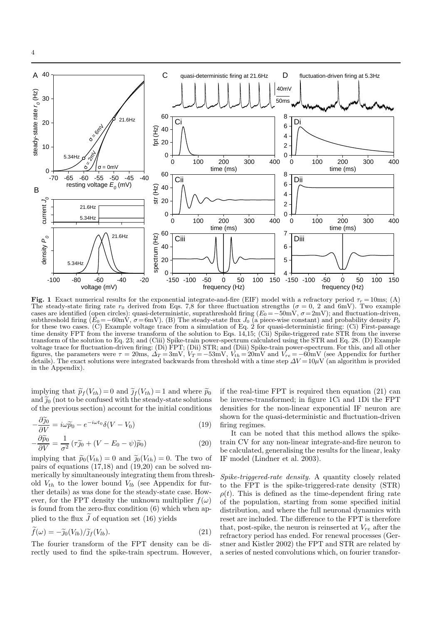

Fig. 1 Exact numerical results for the exponential integrate-and-fire (EIF) model with a refractory period  $\tau_r = 10$ ms; (A) The steady-state firing rate  $r_0$  derived from Eqs. 7,8 for three fluctuation strengths ( $\sigma = 0$ , 2 and 6mV). Two example cases are identified (open circles): quasi-deterministic, suprathreshold firing  $(E_0 = -50 \text{mV}, \sigma = 2 \text{mV})$ ; and fluctuation-driven, subthreshold firing  $(E_0=-60 \text{mV}, \sigma=6 \text{mV})$ . (B) The steady-state flux  $J_0$  (a piece-wise constant) and probability density  $P_0$ for these two cases. (C) Example voltage trace from a simulation of Eq. 2 for quasi-deterministic firing: (Ci) First-passage time density FPT from the inverse transform of the solution to Eqs. 14,15; (Cii) Spike-triggered rate STR from the inverse transform of the solution to Eq. 23; and (Ciii) Spike-train power-spectrum calculated using the STR and Eq. 28. (D) Example voltage trace for fluctuation-driven firing: (Di) FPT; (Dii) STR; and (Diii) Spike-train power-spectrum. For this, and all other figures, the parameters were  $\tau = 20$ ms,  $\Delta_T = 3$ mV,  $V_T = -53$ mV,  $V_{th} = 20$ mV and  $V_{re} = -60$ mV (see Appendix for further details). The exact solutions were integrated backwards from threshold with a time step  $\Delta V = 10 \mu V$  (an algorithm is provided in the Appendix).

implying that  $\widetilde{p}_f(V_{th}) = 0$  and  $\widetilde{J}_f(V_{th}) = 1$  and where  $\widetilde{p}_0$ and  $\tilde{j}_0$  (not to be confused with the steady-state solutions of the previous section) account for the initial conditions

$$
-\frac{\partial \widetilde{\jmath}_0}{\partial V} = i\omega \widetilde{p}_0 - e^{-i\omega t_0} \delta(V - V_0)
$$
\n(19)

$$
-\frac{\partial \widetilde{p}_0}{\partial V} = \frac{1}{\sigma^2} \left( \tau \widetilde{\jmath}_0 + (V - E_0 - \psi) \widetilde{p}_0 \right) \tag{20}
$$

implying that  $\widetilde{p}_0(V_{th}) = 0$  and  $\widetilde{p}_0(V_{th}) = 0$ . The two of pairs of equations  $(17,18)$  and  $(19,20)$  can be solved numerically by simultaneously integrating them from threshold  $V_{th}$  to the lower bound  $V_{lb}$  (see Appendix for further details) as was done for the steady-state case. However, for the FPT density the unknown multiplier  $f(\omega)$ is found from the zero-flux condition (6) which when applied to the flux  $\widetilde{J}$  of equation set (16) yields

$$
\widetilde{f}(\omega) = -\widetilde{\jmath}_0(V_{lb})/\widetilde{\jmath}_f(V_{lb}).\tag{21}
$$

The fourier transform of the FPT density can be directly used to find the spike-train spectrum. However, if the real-time FPT is required then equation (21) can be inverse-transformed; in figure 1Ci and 1Di the FPT densities for the non-linear exponential IF neuron are shown for the quasi-deterministic and fluctuation-driven firing regimes.

It can be noted that this method allows the spiketrain CV for any non-linear integrate-and-fire neuron to be calculated, generalising the results for the linear, leaky IF model (Lindner et al. 2003).

Spike-triggered-rate density. A quantity closely related to the FPT is the spike-triggered-rate density (STR)  $\rho(t)$ . This is defined as the time-dependent firing rate of the population, starting from some specified initial distribution, and where the full neuronal dynamics with reset are included. The difference to the FPT is therefore that, post-spike, the neuron is reinserted at  $V_{re}$  after the refractory period has ended. For renewal processes (Gerstner and Kistler 2002) the FPT and STR are related by a series of nested convolutions which, on fourier transfor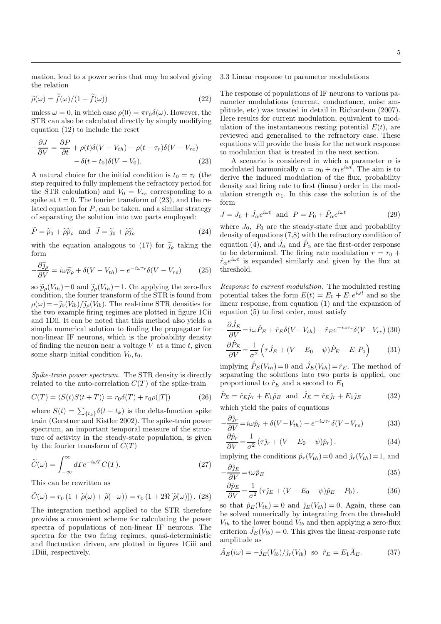mation, lead to a power series that may be solved giving the relation

$$
\widetilde{\rho}(\omega) = \widetilde{f}(\omega)/(1 - \widetilde{f}(\omega))
$$
\n(22)

unless  $\omega = 0$ , in which case  $\rho(0) = \pi r_0 \delta(\omega)$ . However, the STR can also be calculated directly by simply modifying equation (12) to include the reset

$$
-\frac{\partial J}{\partial V} = \frac{\partial P}{\partial t} + \rho(t)\delta(V - V_{th}) - \rho(t - \tau_r)\delta(V - V_{re})
$$
  
-  $\delta(t - t_0)\delta(V - V_0).$  (23)

A natural choice for the initial condition is  $t_0 = \tau_r$  (the step required to fully implement the refractory period for the STR calculation) and  $V_0 = V_{re}$  corresponding to a spike at  $t = 0$ . The fourier transform of (23), and the related equation for  $P$ , can be taken, and a similar strategy of separating the solution into two parts employed:

$$
\widetilde{P} = \widetilde{p}_0 + \widetilde{\rho}\widetilde{p}_\rho \quad \text{and} \quad \widetilde{J} = \widetilde{j}_0 + \widetilde{\rho}\widetilde{j}_\rho \tag{24}
$$

with the equation analogous to (17) for  $\tilde{j}_{\rho}$  taking the form

$$
-\frac{\partial \widetilde{\jmath}_{\rho}}{\partial V} = i\omega \widetilde{p}_{\rho} + \delta(V - V_{th}) - e^{-i\omega \tau_r} \delta(V - V_{re}) \tag{25}
$$

so  $\widetilde{p}_{\rho}(V_{th})=0$  and  $\widetilde{g}_{\rho}(V_{th})=1$ . On applying the zero-flux condition, the fourier transform of the STR is found from  $\rho(\omega)=-\tilde{g}_0(V_{lb})/\tilde{g}_\rho(V_{lb})$ . The real-time STR densities for the two example firing regimes are plotted in figure 1Cii and 1Dii. It can be noted that this method also yields a simple numerical solution to finding the propagator for non-linear IF neurons, which is the probability density of finding the neuron near a voltage  $V$  at a time  $t$ , given some sharp initial condition  $V_0, t_0$ .

Spike-train power spectrum. The STR density is directly related to the auto-correlation  $C(T)$  of the spike-train

$$
C(T) = \langle S(t)S(t+T) \rangle = r_0 \delta(T) + r_0 \rho(|T|)
$$
 (26)

where  $S(t) = \sum_{\{t_k\}} \delta(t - t_k)$  is the delta-function spike train (Gerstner and Kistler 2002). The spike-train power spectrum, an important temporal measure of the structure of activity in the steady-state population, is given by the fourier transform of  $C(T)$ 

$$
\widetilde{C}(\omega) = \int_{-\infty}^{\infty} dTe^{-i\omega T} C(T). \tag{27}
$$

This can be rewritten as

$$
\widetilde{C}(\omega) = r_0 \left(1 + \widetilde{\rho}(\omega) + \widetilde{\rho}(-\omega)\right) = r_0 \left(1 + 2\Re[\widetilde{\rho}(\omega)]\right). (28)
$$

The integration method applied to the STR therefore provides a convenient scheme for calculating the power spectra of populations of non-linear IF neurons. The spectra for the two firing regimes, quasi-deterministic and fluctuation driven, are plotted in figures 1Ciii and 1Diii, respectively.

3.3 Linear response to parameter modulations

The response of populations of IF neurons to various parameter modulations (current, conductance, noise amplitude, etc) was treated in detail in Richardson (2007). Here results for current modulation, equivalent to modulation of the instantaneous resting potential  $E(t)$ , are reviewed and generalised to the refractory case. These equations will provide the basis for the network response to modulation that is treated in the next section.

A scenario is considered in which a parameter  $\alpha$  is modulated harmonically  $\alpha = \alpha_0 + \alpha_1 e^{i\omega t}$ . The aim is to derive the induced modulation of the flux, probability density and firing rate to first (linear) order in the modulation strength  $\alpha_1$ . In this case the solution is of the form

$$
J = J_0 + \hat{J}_\alpha e^{i\omega t} \text{ and } P = P_0 + \hat{P}_\alpha e^{i\omega t}
$$
 (29)

where  $J_0$ ,  $P_0$  are the steady-state flux and probability density of equations (7,8) with the refractory condition of equation (4), and  $\hat{J}_{\alpha}$  and  $\hat{P}_{\alpha}$  are the first-order response to be determined. The firing rate modulation  $r = r_0 +$  $\hat{r}_{\alpha}e^{i\omega t}$  is expanded similarly and given by the flux at threshold.

Response to current modulation. The modulated resting potential takes the form  $E(t) = E_0 + E_1 e^{i\omega t}$  and so the linear response, from equation (1) and the expansion of equation (5) to first order, must satisfy

$$
-\frac{\partial \hat{J}_E}{\partial V} = i\omega \hat{P}_E + \hat{r}_E \delta (V - V_{th}) - \hat{r}_E e^{-i\omega \tau_r} \delta (V - V_{re})
$$
 (30)

$$
-\frac{\partial \hat{P}_E}{\partial V} = \frac{1}{\sigma^2} \left( \tau \hat{J}_E + (V - E_0 - \psi) \hat{P}_E - E_1 P_0 \right) \tag{31}
$$

implying  $\hat{P}_E(V_{th}) = 0$  and  $\hat{J}_E(V_{th}) = \hat{r}_E$ . The method of separating the solutions into two parts is applied, one proportional to  $\hat{r}_E$  and a second to  $E_1$ 

$$
\hat{P}_E = \hat{r}_E \hat{p}_r + E_1 \hat{p}_E \quad \text{and} \quad \hat{J}_E = \hat{r}_E \hat{j}_r + E_1 \hat{j}_E \tag{32}
$$

which yield the pairs of equations

$$
-\frac{\partial \hat{j}_r}{\partial V} = i\omega \hat{p}_r + \delta(V - V_{th}) - e^{-i\omega \tau_r} \delta(V - V_{re})
$$
\n(33)

$$
-\frac{\partial \hat{p}_r}{\partial V} = \frac{1}{\sigma^2} \left( \tau \hat{j}_r + (V - E_0 - \psi) \hat{p}_r \right). \tag{34}
$$

implying the conditions  $\hat{p}_r(V_{th})=0$  and  $\hat{j}_r(V_{th})=1$ , and  $^{\sim}$ 

$$
-\frac{\partial j_E}{\partial V} = i\omega \hat{p}_E \tag{35}
$$

$$
-\frac{\partial \hat{p}_E}{\partial V} = \frac{1}{\sigma^2} \left( \tau \hat{j}_E + (V - E_0 - \psi) \hat{p}_E - P_0 \right). \tag{36}
$$

so that  $\hat{p}_E(V_{th}) = 0$  and  $\hat{j}_E(V_{th}) = 0$ . Again, these can be solved numerically by integrating from the threshold  $V_{th}$  to the lower bound  $V_{lb}$  and then applying a zero-flux criterion  $\hat{J}_E(V_{lb}) = 0$ . This gives the linear-response rate amplitude as

$$
\hat{A}_E(i\omega) = -\hat{j}_E(V_{lb})/\hat{j}_r(V_{lb}) \text{ so } \hat{r}_E = E_1 \hat{A}_E. \tag{37}
$$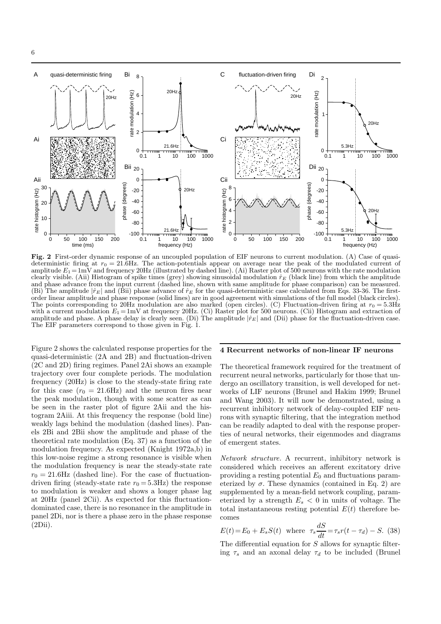

Fig. 2 First-order dynamic response of an uncoupled population of EIF neurons to current modulation. (A) Case of quasideterministic firing at  $r_0 = 21.6$ Hz. The action-potentials appear on average near the peak of the modulated current of amplitude  $E_1 = 1$ mV and frequency 20Hz (illustrated by dashed line). (Ai) Raster plot of 500 neurons with the rate modulation clearly visible. (Aii) Histogram of spike times (grey) showing sinusoidal modulation  $\hat{r}_E$  (black line) from which the amplitude and phase advance from the input current (dashed line, shown with same amplitude for phase comparison) can be measured. (Bi) The amplitude  $|\hat{r}_E|$  and (Bii) phase advance of  $\hat{r}_E$  for the quasi-deterministic case calculated from Eqs. 33-36. The firstorder linear amplitude and phase response (solid lines) are in good agreement with simulations of the full model (black circles). The points corresponding to 20Hz modulation are also marked (open circles). (C) Fluctuation-driven firing at  $r_0 = 5.3$ Hz with a current modulation  $E_1 = 1$ mV at frequency 20Hz. (Ci) Raster plot for 500 neurons. (Cii) Histogram and extraction of amplitude and phase. A phase delay is clearly seen. (Di) The amplitude  $|\hat{r}_E|$  and (Dii) phase for the fluctuation-driven case. The EIF parameters correspond to those given in Fig. 1.

Figure 2 shows the calculated response properties for the quasi-deterministic (2A and 2B) and fluctuation-driven (2C and 2D) firing regimes. Panel 2Ai shows an example trajectory over four complete periods. The modulation frequency (20Hz) is close to the steady-state firing rate for this case  $(r_0 = 21.6 \text{Hz})$  and the neuron fires near the peak modulation, though with some scatter as can be seen in the raster plot of figure 2Aii and the histogram 2Aiii. At this frequency the response (bold line) weakly lags behind the modulation (dashed lines). Panels 2Bi and 2Bii show the amplitude and phase of the theoretical rate modulation (Eq. 37) as a function of the modulation frequency. As expected (Knight 1972a,b) in this low-noise regime a strong resonance is visible when the modulation frequency is near the steady-state rate  $r_0 = 21.6$ Hz (dashed line). For the case of fluctuationdriven firing (steady-state rate  $r_0 = 5.3\text{Hz}$ ) the response to modulation is weaker and shows a longer phase lag at 20Hz (panel 2Cii). As expected for this fluctuationdominated case, there is no resonance in the amplitude in panel 2Di, nor is there a phase zero in the phase response (2Dii).

## 4 Recurrent networks of non-linear IF neurons

The theoretical framework required for the treatment of recurrent neural networks, particularly for those that undergo an oscillatory transition, is well developed for networks of LIF neurons (Brunel and Hakim 1999; Brunel and Wang 2003). It will now be demonstrated, using a recurrent inhibitory network of delay-coupled EIF neurons with synaptic filtering, that the integration method can be readily adapted to deal with the response properties of neural networks, their eigenmodes and diagrams of emergent states.

Network structure. A recurrent, inhibitory network is considered which receives an afferent excitatory drive providing a resting potential  $E_0$  and fluctuations parameterized by  $\sigma$ . These dynamics (contained in Eq. 2) are supplemented by a mean-field network coupling, parameterized by a strength  $E_s < 0$  in units of voltage. The total instantaneous resting potential  $E(t)$  therefore becomes

$$
E(t) = E_0 + E_s S(t)
$$
 where  $\tau_s \frac{dS}{dt} = \tau_s r(t - \tau_d) - S.$  (38)

The differential equation for S allows for synaptic filtering  $\tau_s$  and an axonal delay  $\tau_d$  to be included (Brunel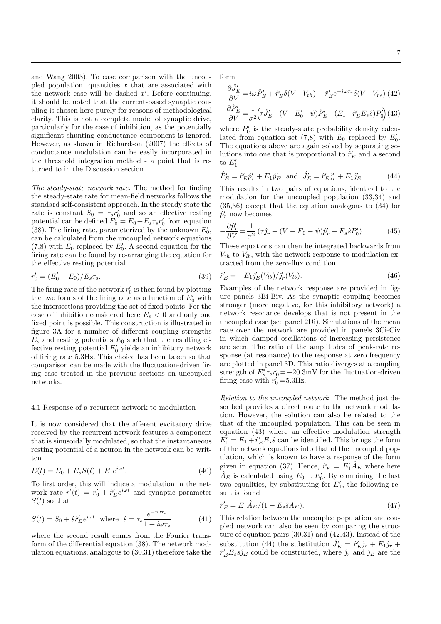and Wang 2003). To ease comparison with the uncoupled population, quantities  $x$  that are associated with the network case will be dashed  $x'$ . Before continuing, it should be noted that the current-based synaptic coupling is chosen here purely for reasons of methodological clarity. This is not a complete model of synaptic drive, particularly for the case of inhibition, as the potentially significant shunting conductance component is ignored. However, as shown in Richardson (2007) the effects of conductance modulation can be easily incorporated in the threshold integration method - a point that is returned to in the Discussion section.

The steady-state network rate. The method for finding the steady-state rate for mean-field networks follows the standard self-consistent approach. In the steady state the rate is constant  $S_0 = \tau_s r'_0$  and so an effective resting potential can be defined  $E'_0 = E_0 + E_s \tau_s r'_0$  from equation (38). The firing rate, parameterized by the unknown  $E'_0$ , can be calculated from the uncoupled network equations (7,8) with  $E_0$  replaced by  $E'_0$ . A second equation for the firing rate can be found by re-arranging the equation for the effective resting potential

$$
r_0' = (E_0' - E_0)/E_s \tau_s. \tag{39}
$$

The firing rate of the network  $r'_0$  is then found by plotting the two forms of the firing rate as a function of  $E'_0$  with the intersections providing the set of fixed points. For the case of inhibition considered here  $E_s < 0$  and only one fixed point is possible. This construction is illustrated in figure 3A for a number of different coupling strengths  $E_s$  and resting potentials  $E_0$  such that the resulting effective resting potential  $E'_0$  yields an inhibitory network of firing rate 5.3Hz. This choice has been taken so that comparison can be made with the fluctuation-driven firing case treated in the previous sections on uncoupled networks.

#### 4.1 Response of a recurrent network to modulation

It is now considered that the afferent excitatory drive received by the recurrent network features a component that is sinusoidally modulated, so that the instantaneous resting potential of a neuron in the network can be written

$$
E(t) = E_0 + E_s S(t) + E_1 e^{i\omega t}.
$$
\n(40)

To first order, this will induce a modulation in the network rate  $r'(t) = r'_0 + \hat{r}'_E e^{i\omega t}$  and synaptic parameter  $S(t)$  so that

$$
S(t) = S_0 + \hat{s} \hat{r}_E' e^{i\omega t} \text{ where } \hat{s} = \tau_s \frac{e^{-i\omega \tau_d}}{1 + i\omega \tau_s} \tag{41}
$$

where the second result comes from the Fourier transform of the differential equation (38). The network modulation equations, analogous to (30,31) therefore take the

form

$$
-\frac{\partial \hat{J}'_E}{\partial V} = i\omega \hat{P}'_E + \hat{r}'_E \delta(V - V_{th}) - \hat{r}'_E e^{-i\omega \tau_r} \delta(V - V_{re})
$$
(42)

$$
-\frac{\partial \hat{P}'_E}{\partial V} \!=\!\! \frac{1}{\sigma^2} \!\!\left(\!\tau \hat{J}'_E\!+\!\left(V\!-\!E'_0\!-\!\psi\right)\!\hat{P}'_E\!-\!\left(E_1\!+\!\hat{r}'_E E_s \hat{s}\right)\!P'_0\!\right)\!(43)
$$

where  $P'_0$  is the steady-state probability density calculated from equation set (7,8) with  $E_0$  replaced by  $E'_0$ . The equations above are again solved by separating solutions into one that is proportional to  $\hat{r}'_E$  and a second to  $E'_1$ 

$$
\hat{P}'_E = \hat{r}'_E \hat{p}'_r + E_1 \hat{p}'_E \text{ and } \hat{J}'_E = \hat{r}'_E \hat{j}'_r + E_1 \hat{j}'_E. \tag{44}
$$

This results in two pairs of equations, identical to the modulation for the uncoupled population (33,34) and (35,36) except that the equation analogous to (34) for  $\hat{p}'_r$  now becomes

$$
-\frac{\partial \hat{p}'_r}{\partial V} = \frac{1}{\sigma^2} \left( \tau \hat{j}'_r + (V - E_0 - \psi) \hat{p}'_r - E_s \hat{s} P'_0 \right). \tag{45}
$$

These equations can then be integrated backwards from  $V_{th}$  to  $V_{lb}$ , with the network response to modulation extracted from the zero-flux condition

$$
\hat{r}'_E = -E_1 \hat{j}'_E (V_{lb}) / \hat{j}'_r (V_{lb}). \tag{46}
$$

Examples of the network response are provided in figure panels 3Bi-Biv. As the synaptic coupling becomes stronger (more negative, for this inhibitory network) a network resonance develops that is not present in the uncoupled case (see panel 2Di). Simulations of the mean rate over the network are provided in panels 3Ci-Civ in which damped oscillations of increasing persistence are seen. The ratio of the amplitudes of peak-rate response (at resonance) to the response at zero frequency are plotted in panel 3D. This ratio diverges at a coupling strength of  $E_s^* \tau_s r_0' = -20.3 \text{mV}$  for the fluctuation-driven firing case with  $r'_0 = 5.3$  Hz.

Relation to the uncoupled network. The method just described provides a direct route to the network modulation. However, the solution can also be related to the that of the uncoupled population. This can be seen in equation (43) where an effective modulation strength  $E'_{1} = E_{1} + \hat{r}'_{E}E_{s}\hat{s}$  can be identified. This brings the form of the network equations into that of the uncoupled population, which is known to have a response of the form given in equation (37). Hence,  $\hat{r}'_E = E'_1 \hat{A}_E$  where here  $\hat{A}_E$  is calculated using  $E_0 \to E'_0$ . By combining the last two equalities, by substituting for  $E'_1$ , the following result is found

$$
\hat{r}'_E = E_1 \hat{A}_E / (1 - E_s \hat{s} A_E). \tag{47}
$$

This relation between the uncoupled population and coupled network can also be seen by comparing the structure of equation pairs (30,31) and (42,43). Instead of the substitution (44) the substitution  $\hat{J}'_E = \hat{r}'_E \hat{j}_r + E_1 \hat{j}_r +$  $\hat{r}'_E E_s \hat{s} \hat{j}_E$  could be constructed, where  $\hat{j}_r$  and  $\hat{j}_E$  are the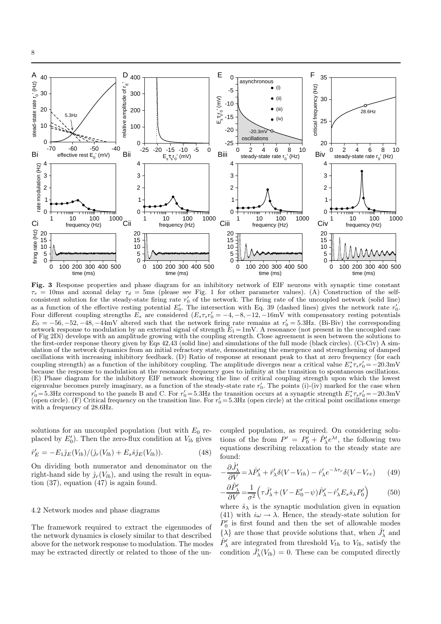

Fig. 3 Response properties and phase diagram for an inhibitory network of EIF neurons with synaptic time constant  $\tau_s = 10$ ms and axonal delay  $\tau_d = 5$ ms (please see Fig. 1 for other parameter values). (A) Construction of the selfconsistent solution for the steady-state firing rate  $r'_0$  of the network. The firing rate of the uncoupled network (solid line) as a function of the effective resting potential  $E'_0$ . The intersection with Eq. 39 (dashed lines) gives the network rate  $r'_0$ . Four different coupling strengths  $E_s$  are considered  $(E_s \tau_s r_0' = -4, -8, -12, -16$ mV with compensatory resting potentials  $E_0 = -56, -52, -48, -44$ mV altered such that the network firing rate remains at  $r'_0 = 5.3$ Hz. (Bi-Biv) the corresponding network response to modulation by an external signal of strength  $E_1 = 1$ mV. A resonance (not present in the uncoupled case of Fig 2Di) develops with an amplitude growing with the coupling strength. Close agreement is seen between the solutions to the first-order response theory given by Eqs 42,43 (solid line) and simulations of the full mode (black circles). (Ci-Civ) A simulation of the network dynamics from an initial refractory state, demonstrating the emergence and strengthening of damped oscillations with increasing inhibitory feedback. (D) Ratio of response at resonant peak to that at zero frequency (for each coupling strength) as a function of the inhibitory coupling. The amplitude diverges near a critical value  $E_s^* \tau_s r_0' = -20.3 \text{mV}$ because the response to modulation at the resonance frequency goes to infinity at the transition to spontaneous oscillations. (E) Phase diagram for the inhibitory EIF network showing the line of critical coupling strength upon which the lowest eigenvalue becomes purely imaginary, as a function of the steady-state rate  $r'_0$ . The points (i)-(iv) marked for the case when  $r'_0 = 5.3$ Hz correspond to the panels B and C. For  $r'_0 = 5.3$ Hz the transition occurs at a synaptic strength  $E_s^* \tau_s r'_0 = -20.3$ mV (open circle). (F) Critical frequency on the transition line. For  $r'_0 = 5.3$ Hz (open circle) at the critical point oscillations emerge with a frequency of 28.6Hz.

solutions for an uncoupled population (but with  $E_0$  replaced by  $E'_0$ ). Then the zero-flux condition at  $V_{lb}$  gives

$$
\hat{r}'_E = -E_1 \hat{j}_E(V_{lb})/(\hat{j}_r(V_{lb}) + E_s \hat{s} \hat{j}_E(V_{lb})).
$$
\n(48)

On dividing both numerator and denominator on the right-hand side by  $\hat{\jmath}_r(V_{lb})$ , and using the result in equation (37), equation (47) is again found.

#### 4.2 Network modes and phase diagrams

The framework required to extract the eigenmodes of the network dynamics is closely similar to that described above for the network response to modulation. The modes may be extracted directly or related to those of the uncoupled population, as required. On considering solutions of the from  $P' = P'_0 + \hat{P}'_1 e^{\lambda t}$ , the following two equations describing relaxation to the steady state are found:

$$
-\frac{\partial \hat{J}_{\lambda}'}{\partial V} = \lambda \hat{P}_{\lambda}' + \hat{r}_{\lambda}' \delta(V - V_{th}) - \hat{r}_{\lambda}' e^{-\lambda \tau_r} \delta(V - V_{re}) \tag{49}
$$

$$
-\frac{\partial \hat{P}'_{\lambda}}{\partial V} = \frac{1}{\sigma^2} \left( \tau \hat{J}'_{\lambda} + (V - E'_0 - \psi) \hat{P}'_{\lambda} - \hat{r}'_{\lambda} E_s \hat{s}_{\lambda} P'_0 \right)
$$
(50)

where  $\hat{s}_{\lambda}$  is the synaptic modulation given in equation (41) with  $i\omega \rightarrow \lambda$ . Hence, the steady-state solution for  $P'_0$  is first found and then the set of allowable modes  $\{\lambda\}$  are those that provide solutions that, when  $\hat{J}'_{\lambda}$  and  $\hat{P}'_{\lambda}$  are integrated from threshold  $V_{th}$  to  $V_{lb}$ , satisfy the condition  $\hat{J}'_{\lambda}(V_{lb}) = 0$ . These can be computed directly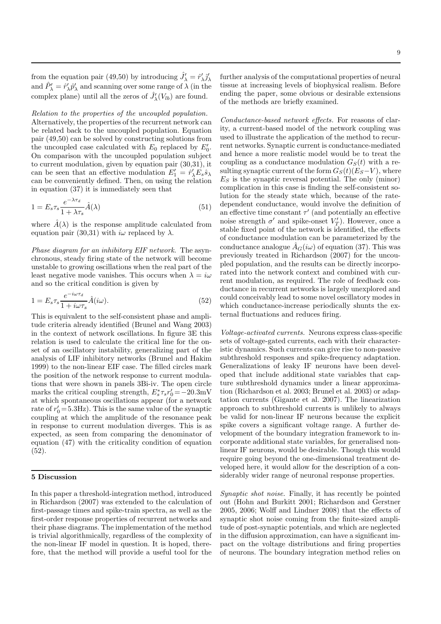from the equation pair (49,50) by introducing  $\hat{J}'_{\lambda} = \hat{r}'_{\lambda} \hat{j}'_{\lambda}$ and  $\hat{P}'_{\lambda} = \hat{r}'_{\lambda} \hat{p}'_{\lambda}$  and scanning over some range of  $\lambda$  (in the complex plane) until all the zeros of  $\hat{J}'_{\lambda}(V_{lb})$  are found.

Relation to the properties of the uncoupled population. Alternatively, the properties of the recurrent network can be related back to the uncoupled population. Equation pair (49,50) can be solved by constructing solutions from the uncoupled case calculated with  $E_0$  replaced by  $E'_0$ . On comparison with the uncoupled population subject to current modulation, given by equation pair (30,31), it can be seen that an effective modulation  $E'_1 = \hat{r}'_{\lambda} E_s \hat{s}_{\lambda}$ can be conveniently defined. Then, on using the relation in equation (37) it is immediately seen that

$$
1 = E_s \tau_s \frac{e^{-\lambda \tau_d}}{1 + \lambda \tau_s} \hat{A}(\lambda)
$$
\n(51)

where  $\hat{A}(\lambda)$  is the response amplitude calculated from equation pair (30.31) with  $i\omega$  replaced by  $\lambda$ .

Phase diagram for an inhibitory EIF network. The asynchronous, steady firing state of the network will become unstable to growing oscillations when the real part of the least negative mode vanishes. This occurs when  $\lambda = i\omega$ and so the critical condition is given by

$$
1 = E_s \tau_s \frac{e^{-i\omega \tau_d}}{1 + i\omega \tau_s} \hat{A}(i\omega).
$$
 (52)

This is equivalent to the self-consistent phase and amplitude criteria already identified (Brunel and Wang 2003) in the context of network oscillations. In figure 3E this relation is used to calculate the critical line for the onset of an oscillatory instability, generalizing part of the analysis of LIF inhibitory networks (Brunel and Hakim 1999) to the non-linear EIF case. The filled circles mark the position of the network response to current modulations that were shown in panels 3Bi-iv. The open circle marks the critical coupling strength,  $E_s^* \tau_s r_0' = -20.3 \text{mV}$ at which spontaneous oscillations appear (for a network rate of  $r'_0 = 5.3$ Hz). This is the same value of the synaptic coupling at which the amplitude of the resonance peak in response to current modulation diverges. This is as expected, as seen from comparing the denominator of equation (47) with the criticality condition of equation (52).

#### 5 Discussion

In this paper a threshold-integration method, introduced in Richardson (2007) was extended to the calculation of first-passage times and spike-train spectra, as well as the first-order response properties of recurrent networks and their phase diagrams. The implementation of the method is trivial algorithmically, regardless of the complexity of the non-linear IF model in question. It is hoped, therefore, that the method will provide a useful tool for the

further analysis of the computational properties of neural tissue at increasing levels of biophysical realism. Before ending the paper, some obvious or desirable extensions of the methods are briefly examined.

Conductance-based network effects. For reasons of clarity, a current-based model of the network coupling was used to illustrate the application of the method to recurrent networks. Synaptic current is conductance-mediated and hence a more realistic model would be to treat the coupling as a conductance modulation  $G<sub>S</sub>(t)$  with a resulting synaptic current of the form  $G_S(t)(E_S-V)$ , where  $E<sub>S</sub>$  is the synaptic reversal potential. The only (minor) complication in this case is finding the self-consistent solution for the steady state which, because of the ratedependent conductance, would involve the definition of an effective time constant  $\tau'$  (and potentially an effective noise strength  $\sigma'$  and spike-onset  $V'_T$ ). However, once a stable fixed point of the network is identified, the effects of conductance modulation can be parameterized by the conductance analogue  $A_G(i\omega)$  of equation (37). This was previously treated in Richardson (2007) for the uncoupled population, and the results can be directly incorporated into the network context and combined with current modulation, as required. The role of feedback conductance in recurrent networks is largely unexplored and could conceivably lead to some novel oscillatory modes in which conductance-increase periodically shunts the external fluctuations and reduces firing.

Voltage-activated currents. Neurons express class-specific sets of voltage-gated currents, each with their characteristic dynamics. Such currents can give rise to non-passive subthreshold responses and spike-frequency adaptation. Generalizations of leaky IF neurons have been developed that include additional state variables that capture subthreshold dynamics under a linear approximation (Richardson et al. 2003; Brunel et al. 2003) or adaptation currents (Gigante et al. 2007). The linearization approach to subthreshold currents is unlikely to always be valid for non-linear IF neurons because the explicit spike covers a significant voltage range. A further development of the boundary integration framework to incorporate additional state variables, for generalised nonlinear IF neurons, would be desirable. Though this would require going beyond the one-dimensional treatment developed here, it would allow for the description of a considerably wider range of neuronal response properties.

Synaptic shot noise. Finally, it has recently be pointed out (Hohn and Burkitt 2001; Richardson and Gerstner 2005, 2006; Wolff and Lindner 2008) that the effects of synaptic shot noise coming from the finite-sized amplitude of post-synaptic potentials, and which are neglected in the diffusion approximation, can have a significant impact on the voltage distributions and firing properties of neurons. The boundary integration method relies on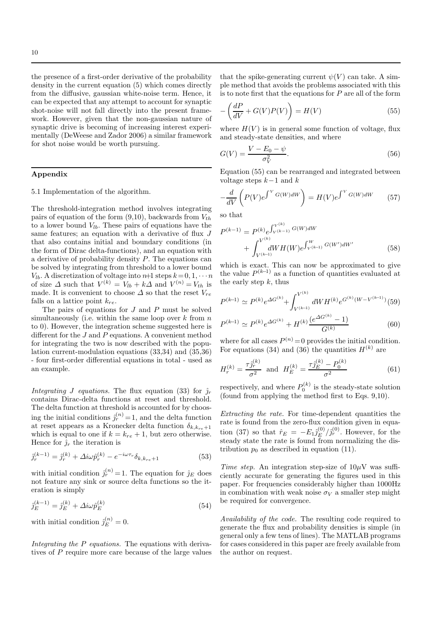the presence of a first-order derivative of the probability density in the current equation (5) which comes directly from the diffusive, gaussian white-noise term. Hence, it can be expected that any attempt to account for synaptic shot-noise will not fall directly into the present framework. However, given that the non-gaussian nature of synaptic drive is becoming of increasing interest experimentally (DeWeese and Zador 2006) a similar framework for shot noise would be worth pursuing.

## Appendix

#### 5.1 Implementation of the algorithm.

The threshold-integration method involves integrating pairs of equation of the form  $(9,10)$ , backwards from  $V_{th}$ to a lower bound  $V_{lb}$ . These pairs of equations have the same features; an equation with a derivative of flux J that also contains initial and boundary conditions (in the form of Dirac delta-functions), and an equation with a derivative of probability density P. The equations can be solved by integrating from threshold to a lower bound  $V_{lb}$ . A discretization of voltage into  $n+1$  steps  $k = 0, 1, \cdots n$ of size  $\Delta$  such that  $V^{(k)} = V_{lb} + k\Delta$  and  $V^{(n)} = V_{th}$  is made. It is convenient to choose  $\Delta$  so that the reset  $V_{re}$ falls on a lattice point  $k_{re}$ .

The pairs of equations for J and P must be solved simultaneously (i.e. within the same loop over  $k$  from  $n$ to 0). However, the integration scheme suggested here is different for the  $J$  and  $P$  equations. A convenient method for integrating the two is now described with the population current-modulation equations (33,34) and (35,36) - four first-order differential equations in total - used as an example.

Integrating J equations. The flux equation (33) for  $\hat{j}_r$ contains Dirac-delta functions at reset and threshold. The delta function at threshold is accounted for by choosing the initial conditions  $\hat{j}_r^{(n)} = 1$ , and the delta function at reset appears as a Kronecker delta function  $\delta_{k,k_{re}+1}$ which is equal to one if  $k = k_{re} + 1$ , but zero otherwise. Hence for  $\hat{j}_r$  the iteration is

$$
\hat{j}_r^{(k-1)} = \hat{j}_r^{(k)} + \Delta i \omega \hat{p}_r^{(k)} - e^{-i \omega \tau_r} \delta_{k, k_{re}+1}
$$
\n(53)

with initial condition  $\hat{j}_r^{(n)} = 1$ . The equation for  $\hat{j}_E$  does not feature any sink or source delta functions so the iteration is simply

$$
\hat{j}_E^{(k-1)} = \hat{j}_E^{(k)} + \Delta i \omega \hat{p}_E^{(k)} \tag{54}
$$

with initial condition  $\hat{j}_E^{(n)} = 0$ .

Integrating the P equations. The equations with derivatives of P require more care because of the large values

that the spike-generating current  $\psi(V)$  can take. A simple method that avoids the problems associated with this is to note first that the equations for  $P$  are all of the form

$$
-\left(\frac{dP}{dV} + G(V)P(V)\right) = H(V)
$$
\n(55)

where  $H(V)$  is in general some function of voltage, flux and steady-state densities, and where

$$
G(V) = \frac{V - E_0 - \psi}{\sigma_V^2}.
$$
\n
$$
(56)
$$

Equation (55) can be rearranged and integrated between voltage steps  $k-1$  and  $k$ 

$$
-\frac{d}{dV}\left(P(V)e^{\int^V G(W)dW}\right) = H(V)e^{\int^V G(W)dW}
$$
 (57)

so that

$$
P^{(k-1)} = P^{(k)} e^{\int_{V^{(k-1)}}^{V^{(k)}} G(W) dW} + \int_{V^{(k-1)}}^{V^{(k)}} dW H(W) e^{\int_{V^{(k-1)}}^{W} G(W') dW'} \tag{58}
$$

which is exact. This can now be approximated to give the value  $P^{(k-1)}$  as a function of quantities evaluated at the early step  $k$ , thus

$$
P^{(k-1)} \simeq P^{(k)} e^{\Delta G^{(k)}} + \int_{V^{(k-1)}}^{V^{(k)}} dW H^{(k)} e^{G^{(k)}(W - V^{(k-1)})} (59)
$$

$$
P^{(k-1)} \simeq P^{(k)} e^{\Delta G^{(k)}} + H^{(k)} \frac{(e^{\Delta G^{(k)}} - 1)}{G^{(k)}} \tag{60}
$$

where for all cases  $P^{(n)} = 0$  provides the initial condition. For equations (34) and (36) the quantities  $H^{(k)}$  are

$$
H_r^{(k)} = \frac{\tau_{\hat{J}_r}^{(k)}}{\sigma^2} \quad \text{and} \quad H_E^{(k)} = \frac{\tau_{\hat{J}_E}^{(k)} - P_0^{(k)}}{\sigma^2} \tag{61}
$$

respectively, and where  $P_0^{(k)}$  is the steady-state solution (found from applying the method first to Eqs. 9,10).

Extracting the rate. For time-dependent quantities the rate is found from the zero-flux condition given in equation (37) so that  $\hat{r}_E = -E_1 \hat{j}_E^{(0)}$  $E^{(0)}/\hat{\jmath}_r^{(0)}$ . However, for the steady state the rate is found from normalizing the distribution  $p_0$  as described in equation (11).

*Time step.* An integration step-size of  $10\mu$ V was sufficiently accurate for generating the figures used in this paper. For frequencies considerably higher than 1000Hz in combination with weak noise  $\sigma_V$  a smaller step might be required for convergence.

Availability of the code. The resulting code required to generate the flux and probability densities is simple (in general only a few tens of lines). The MATLAB programs for cases considered in this paper are freely available from the author on request.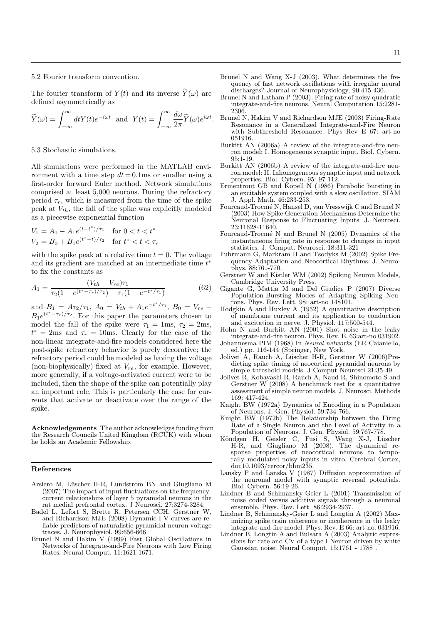## 5.2 Fourier transform convention.

The fourier transform of  $Y(t)$  and its inverse  $\widetilde{Y}(\omega)$  are defined asymmetrically as

$$
\widetilde{Y}(\omega) = \int_{-\infty}^{\infty} dt Y(t) e^{-i\omega t}
$$
 and  $Y(t) = \int_{-\infty}^{\infty} \frac{d\omega}{2\pi} \widetilde{Y}(\omega) e^{i\omega t}$ .

#### 5.3 Stochastic simulations.

All simulations were performed in the MATLAB environment with a time step  $dt = 0.1$ ms or smaller using a first-order forward Euler method. Network simulations comprised at least 5,000 neurons. During the refractory period  $\tau_r$ , which is measured from the time of the spike peak at  $V_{th}$ , the fall of the spike was explicitly modeled as a piecewise exponential function

$$
V_1 = A_0 - A_1 e^{(t - t^*)/\tau_1} \quad \text{for } 0 < t < t^*
$$
  
\n
$$
V_2 = B_0 + B_1 e^{(t^* - t)/\tau_2} \quad \text{for } t^* < t < \tau_r
$$

with the spike peak at a relative time  $t = 0$ . The voltage and its gradient are matched at an intermediate time  $t^*$ to fix the constants as

$$
A_1 = \frac{(V_{th} - V_{re})\tau_1}{\tau_2 (1 - e^{(t^* - \tau_r)/\tau_2}) + \tau_1 (1 - e^{-t^*/\tau_1})}
$$
(62)

and  $B_1 = A\tau_2/\tau_1$ ,  $A_0 = V_{th} + A_1 e^{-t^*/\tau_1}$ ,  $B_0 = V_{re}$  $B_1e^{(t^*-\tau_r)/\tau_2}$ . For this paper the parameters chosen to model the fall of the spike were  $\tau_1 = 1$ ms,  $\tau_2 = 2$ ms,  $t^* = 2ms$  and  $\tau_r = 10ms$ . Clearly for the case of the non-linear integrate-and-fire models considered here the post-spike refractory behavior is purely decorative; the refractory period could be modeled as having the voltage (non-biophysically) fixed at  $V_{re}$ , for example. However, more generally, if a voltage-activated current were to be included, then the shape of the spike can potentially play an important role. This is particularly the case for currents that activate or deactivate over the range of the spike.

Acknowledgements The author acknowledges funding from the Research Councils United Kingdom (RCUK) with whom he holds an Academic Fellowship.

#### References

- Arsiero M, Lüscher H-R, Lundstrom BN and Giugliano M (2007) The impact of input fluctuations on the frequencycurrent relationships of layer 5 pyramidal neurons in the rat medial prefrontal cortex. J Neurosci. 27:3274-3284.
- Badel L, Lefort S, Brette R, Petersen CCH, Gerstner W, and Richardson MJE (2008) Dynamic I-V curves are reliable predictors of naturalistic pyramidal-neuron voltage traces. J. Neurophysiol. 99:656-666
- Brunel N and Hakim V (1999) Fast Global Oscillations in Networks of Integrate-and-Fire Neurons with Low Firing Rates. Neural Comput. 11:1621-1671.
- Brunel N and Wang X-J (2003). What determines the frequency of fast network oscillations with irregular neural discharges? Journal of Neurophysiology, 90:415-430.
- Brunel N and Latham P (2003). Firing rate of noisy quadratic integrate-and-fire neurons. Neural Computation 15:2281- 2306.
- Brunel N, Hakim V and Richardson MJE (2003) Firing-Rate Resonance in a Generalized Integrate-and-Fire Neuron with Subthreshold Resonance. Phys Rev E 67: art-no 051916.
- Burkitt AN (2006a) A review of the integrate-and-fire neuron model: I. Homogeneous synaptic input. Biol. Cybern. 95:1-19.
- Burkitt AN (2006b) A review of the integrate-and-fire neuron model: II. Inhomogeneous synaptic input and network properties. Biol. Cybern. 95: 97-112.
- Ermentrout GB and Kopell N (1986) Parabolic bursting in an excitable system coupled with a slow oscillation. SIAM J. Appl. Math. 46:233-253.
- Fourcaud-Trocm´e N, Hansel D, van Vresswijk C and Brunel N (2003) How Spike Generation Mechanisms Determine the Neuronal Response to Fluctuating Inputs. J. Neurosci. 23:11628-11640.
- Fourcaud-Trocm´e N and Brunel N (2005) Dynamics of the instantaneous firing rate in response to changes in input statistics. J. Comput. Neurosci. 18:311-321
- Fuhrmann G, Markram H and Tsodyks M (2002) Spike Frequency Adaptation and Neocortical Rhythms. J. Neurophys. 88:761-770.
- Gerstner W and Kistler WM (2002) Spiking Neuron Models, Cambridge University Press.
- Gigante G, Mattia M and Del Giudice P (2007) Diverse Population-Bursting Modes of Adapting Spiking Neurons. Phys. Rev. Lett. 98: art-no 148101.
- Hodgkin A and Huxley A (1952) A quantitative description of membrane current and its application to conduction and excitation in nerve. J. Physiol. 117:500-544.
- Hohn N and Burkitt AN (2001) Shot noise in the leaky integrate-and-fire neuron. Phys. Rev. E. 63:art-no 031902.
- Johannesma PIM (1968) In Neural networks (ER Caianiello, ed.) pp. 116-144 (Springer, New York.
- Jolivet A, Rauch A, L¨uscher H-R, Gerstner W (2006)Predicting spike timing of neocortical pyramidal neurons by simple threshold models. J Comput Neurosci 21:35-49.
- Jolivet R, Kobayashi R, Rauch A, Naud R, Shinomoto S and Gerstner W (2008) A benchmark test for a quantitative assessment of simple neuron models. J. Neurosci. Methods 169: 417-424.
- Knight BW (1972a) Dynamics of Encoding in a Population of Neurons. J. Gen. Physiol. 59:734-766.
- Knight BW (1972b) The Relationship between the Firing Rate of a Single Neuron and the Level of Activity in a Population of Neurons. J. Gen. Physiol. 59:767-778.
- Köndgen H, Geisler C, Fusi S, Wang X-J, Lüscher H-R, and Giugliano M (2008). The dynamical response properties of neocortical neurons to temporally modulated noisy inputs in vitro. Cerebral Cortex, doi:10.1093/cercor/bhm235.
- Lansky P and Lanska V (1987) Diffusion approximation of the neuronal model with synaptic reversal potentials. Biol. Cybern. 56:19-26.
- Lindner B and Schimansky-Geier L (2001) Transmission of noise coded versus additive signals through a neuronal ensemble. Phys. Rev. Lett. 86:2934-2937.
- Lindner B, Schimansky-Geier L and Longtin A (2002) Maximizing spike train coherence or incoherence in the leaky integrate-and-fire model. Phys. Rev. E 66: art-no. 031916.
- Lindner B, Longtin A and Bulsara A (2003) Analytic expressions for rate and CV of a type I Neuron driven by white Gaussian noise. Neural Comput. 15:1761 - 1788 .